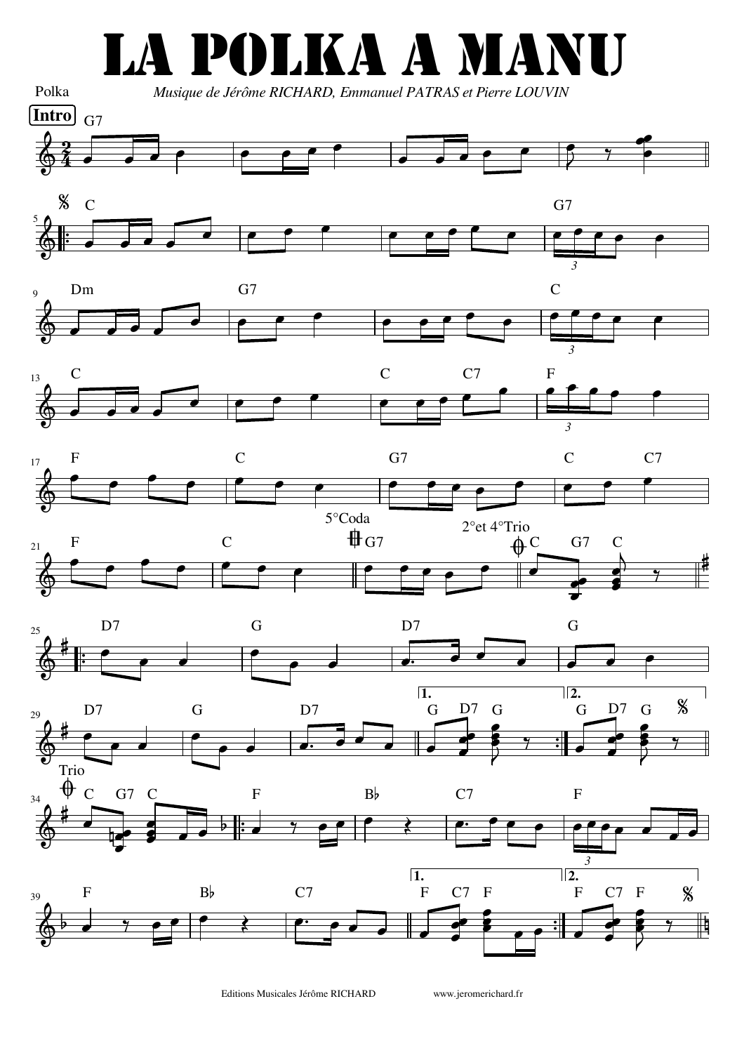## LA POLKA A MANU

*Musique de Jérôme RICHARD, Emmanuel PATRAS et Pierre LOUVIN* 

Polka